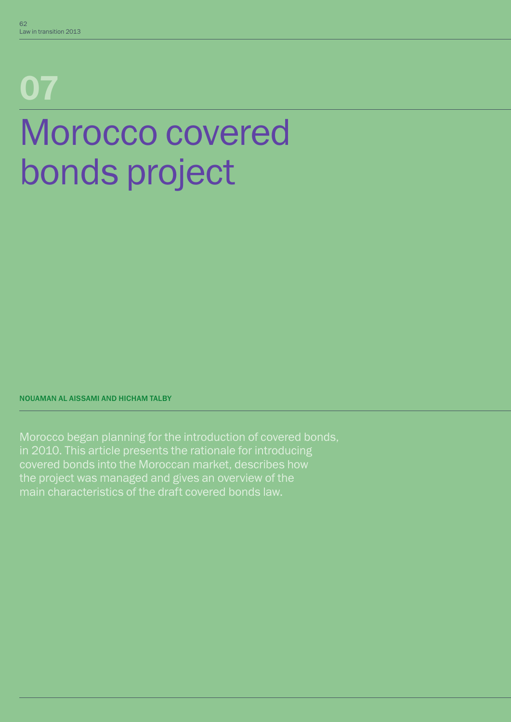# Morocco covered bonds project 07

NOUAMAN AL AISSAMI AND HICHAM TALBY

Morocco began planning for the introduction of covered bonds, in 2010. This article presents the rationale for introducing covered bonds into the Moroccan market, describes how the project was managed and gives an overview of the main characteristics of the draft covered bonds law.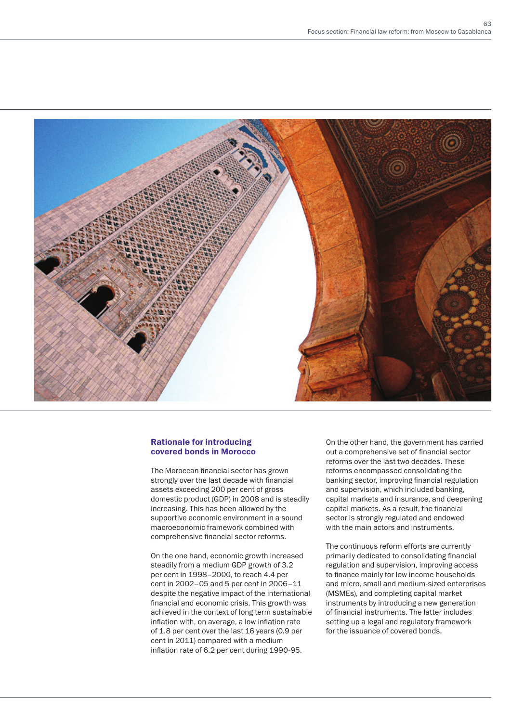

## Rationale for introducing covered bonds in Morocco

The Moroccan financial sector has grown strongly over the last decade with financial assets exceeding 200 per cent of gross domestic product (GDP) in 2008 and is steadily increasing. This has been allowed by the supportive economic environment in a sound macroeconomic framework combined with comprehensive financial sector reforms.

On the one hand, economic growth increased steadily from a medium GDP growth of 3.2 per cent in 1998–2000, to reach 4.4 per cent in 2002–05 and 5 per cent in 2006–11 despite the negative impact of the international financial and economic crisis. This growth was achieved in the context of long term sustainable inflation with, on average, a low inflation rate of 1.8 per cent over the last 16 years (0.9 per cent in 2011) compared with a medium inflation rate of 6.2 per cent during 1990-95.

On the other hand, the government has carried out a comprehensive set of financial sector reforms over the last two decades. These reforms encompassed consolidating the banking sector, improving financial regulation and supervision, which included banking, capital markets and insurance, and deepening capital markets. As a result, the financial sector is strongly regulated and endowed with the main actors and instruments.

The continuous reform efforts are currently primarily dedicated to consolidating financial regulation and supervision, improving access to finance mainly for low income households and micro, small and medium-sized enterprises (MSMEs), and completing capital market instruments by introducing a new generation of financial instruments. The latter includes setting up a legal and regulatory framework for the issuance of covered bonds.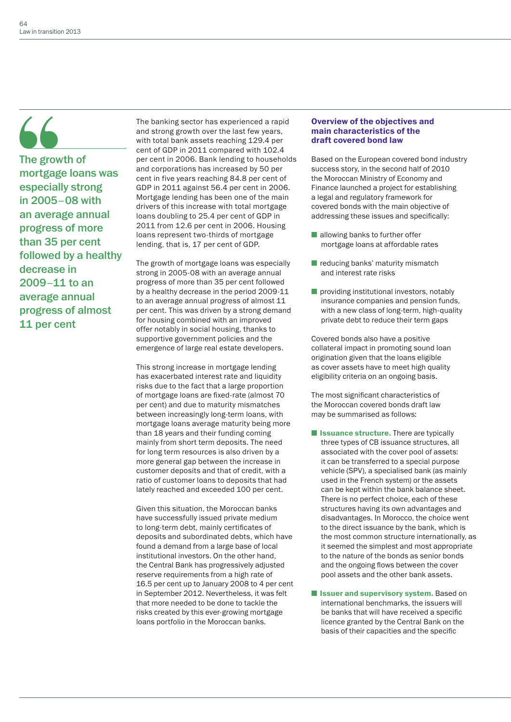The growth of mortgage loans was especially strong in 2005–08 with an average annual progress of more than 35 per cent followed by a healthy decrease in 2009–11 to an average annual progress of almost 11 per cent

The banking sector has experienced a rapid and strong growth over the last few years, with total bank assets reaching 129.4 per cent of GDP in 2011 compared with 102.4 per cent in 2006. Bank lending to households and corporations has increased by 50 per cent in five years reaching 84.8 per cent of GDP in 2011 against 56.4 per cent in 2006. Mortgage lending has been one of the main drivers of this increase with total mortgage loans doubling to 25.4 per cent of GDP in 2011 from 12.6 per cent in 2006. Housing loans represent two-thirds of mortgage lending, that is, 17 per cent of GDP.

The growth of mortgage loans was especially strong in 2005-08 with an average annual progress of more than 35 per cent followed by a healthy decrease in the period 2009-11 to an average annual progress of almost 11 per cent. This was driven by a strong demand for housing combined with an improved offer notably in social housing, thanks to supportive government policies and the emergence of large real estate developers.

This strong increase in mortgage lending has exacerbated interest rate and liquidity risks due to the fact that a large proportion of mortgage loans are fixed-rate (almost 70 per cent) and due to maturity mismatches between increasingly long-term loans, with mortgage loans average maturity being more than 18 years and their funding coming mainly from short term deposits. The need for long term resources is also driven by a more general gap between the increase in customer deposits and that of credit, with a ratio of customer loans to deposits that had lately reached and exceeded 100 per cent.

Given this situation, the Moroccan banks have successfully issued private medium to long-term debt, mainly certificates of deposits and subordinated debts, which have found a demand from a large base of local institutional investors. On the other hand, the Central Bank has progressively adjusted reserve requirements from a high rate of 16.5 per cent up to January 2008 to 4 per cent in September 2012. Nevertheless, it was felt that more needed to be done to tackle the risks created by this ever-growing mortgage loans portfolio in the Moroccan banks.

## Overview of the objectives and main characteristics of the draft covered bond law

Based on the European covered bond industry success story, in the second half of 2010 the Moroccan Ministry of Economy and Finance launched a project for establishing a legal and regulatory framework for covered bonds with the main objective of addressing these issues and specifically:

- allowing banks to further offer mortgage loans at affordable rates
- reducing banks' maturity mismatch and interest rate risks
- providing institutional investors, notably insurance companies and pension funds, with a new class of long-term, high-quality private debt to reduce their term gaps

Covered bonds also have a positive collateral impact in promoting sound loan origination given that the loans eligible as cover assets have to meet high quality eligibility criteria on an ongoing basis.

The most significant characteristics of the Moroccan covered bonds draft law may be summarised as follows:

- Issuance structure. There are typically three types of CB issuance structures, all associated with the cover pool of assets: it can be transferred to a special purpose vehicle (SPV), a specialised bank (as mainly used in the French system) or the assets can be kept within the bank balance sheet. There is no perfect choice, each of these structures having its own advantages and disadvantages. In Morocco, the choice went to the direct issuance by the bank, which is the most common structure internationally, as it seemed the simplest and most appropriate to the nature of the bonds as senior bonds and the ongoing flows between the cover pool assets and the other bank assets.
- Issuer and supervisory system. Based on international benchmarks, the issuers will be banks that will have received a specific licence granted by the Central Bank on the basis of their capacities and the specific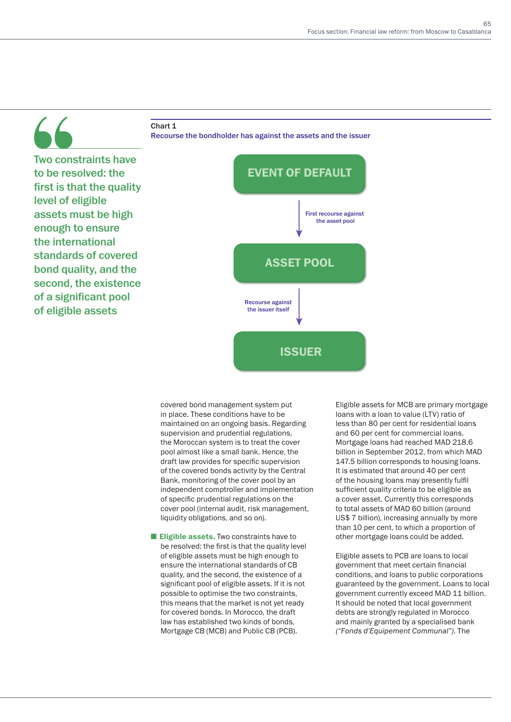Chart 1 Recourse the bondholder has against the assets and the issuer

Two constraints have to be resolved: the first is that the quality level of eligible assets must be high enough to ensure the international standards of covered bond quality, and the second, the existence of a significant pool of eligible assets



covered bond management system put in place. These conditions have to be maintained on an ongoing basis. Regarding supervision and prudential regulations, the Moroccan system is to treat the cover pool almost like a small bank. Hence, the draft law provides for specific supervision of the covered bonds activity by the Central Bank, monitoring of the cover pool by an independent comptroller and implementation of specific prudential regulations on the cover pool (internal audit, risk management, liquidity obligations, and so on).

■ Eligible assets. Two constraints have to be resolved: the first is that the quality level of eligible assets must be high enough to ensure the international standards of CB quality, and the second, the existence of a significant pool of eligible assets. If it is not possible to optimise the two constraints, this means that the market is not yet ready for covered bonds. In Morocco, the draft law has established two kinds of bonds, Mortgage CB (MCB) and Public CB (PCB).

Eligible assets for MCB are primary mortgage loans with a loan to value (LTV) ratio of less than 80 per cent for residential loans and 60 per cent for commercial loans. Mortgage loans had reached MAD 218.6 billion in September 2012, from which MAD 147.5 billion corresponds to housing loans. It is estimated that around 40 per cent of the housing loans may presently fulfil sufficient quality criteria to be eligible as a cover asset. Currently this corresponds to total assets of MAD 60 billion (around US\$ 7 billion), increasing annually by more than 10 per cent, to which a proportion of other mortgage loans could be added.

Eligible assets to PCB are loans to local government that meet certain financial conditions, and loans to public corporations guaranteed by the government. Loans to local government currently exceed MAD 11 billion. It should be noted that local government debts are strongly regulated in Morocco and mainly granted by a specialised bank *("Fonds d'Equipement Communal")*. The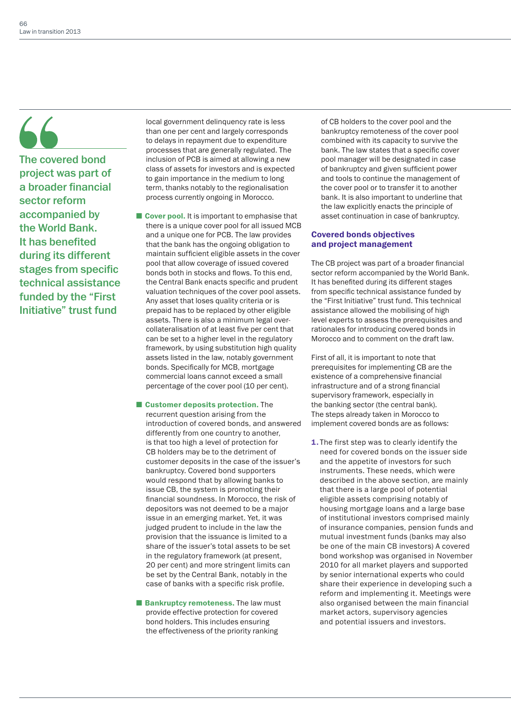The covered bond project was part of a broader financial sector reform accompanied by the World Bank. It has benefited during its different stages from specific technical assistance funded by the "First Initiative" trust fund

local government delinquency rate is less than one per cent and largely corresponds to delays in repayment due to expenditure processes that are generally regulated. The inclusion of PCB is aimed at allowing a new class of assets for investors and is expected to gain importance in the medium to long term, thanks notably to the regionalisation process currently ongoing in Morocco.

- Cover pool. It is important to emphasise that there is a unique cover pool for all issued MCB and a unique one for PCB. The law provides that the bank has the ongoing obligation to maintain sufficient eligible assets in the cover pool that allow coverage of issued covered bonds both in stocks and flows. To this end, the Central Bank enacts specific and prudent valuation techniques of the cover pool assets. Any asset that loses quality criteria or is prepaid has to be replaced by other eligible assets. There is also a minimum legal overcollateralisation of at least five per cent that can be set to a higher level in the regulatory framework, by using substitution high quality assets listed in the law, notably government bonds. Specifically for MCB, mortgage commercial loans cannot exceed a small percentage of the cover pool (10 per cent).
- Customer deposits protection. The recurrent question arising from the introduction of covered bonds, and answered differently from one country to another, is that too high a level of protection for CB holders may be to the detriment of customer deposits in the case of the issuer's bankruptcy. Covered bond supporters would respond that by allowing banks to issue CB, the system is promoting their financial soundness. In Morocco, the risk of depositors was not deemed to be a major issue in an emerging market. Yet, it was judged prudent to include in the law the provision that the issuance is limited to a share of the issuer's total assets to be set in the regulatory framework (at present, 20 per cent) and more stringent limits can be set by the Central Bank, notably in the case of banks with a specific risk profile.
- Bankruptcy remoteness. The law must provide effective protection for covered bond holders. This includes ensuring the effectiveness of the priority ranking

of CB holders to the cover pool and the bankruptcy remoteness of the cover pool combined with its capacity to survive the bank. The law states that a specific cover pool manager will be designated in case of bankruptcy and given sufficient power and tools to continue the management of the cover pool or to transfer it to another bank. It is also important to underline that the law explicitly enacts the principle of asset continuation in case of bankruptcy.

## Covered bonds objectives and project management

The CB project was part of a broader financial sector reform accompanied by the World Bank. It has benefited during its different stages from specific technical assistance funded by the "First Initiative" trust fund. This technical assistance allowed the mobilising of high level experts to assess the prerequisites and rationales for introducing covered bonds in Morocco and to comment on the draft law.

First of all, it is important to note that prerequisites for implementing CB are the existence of a comprehensive financial infrastructure and of a strong financial supervisory framework, especially in the banking sector (the central bank). The steps already taken in Morocco to implement covered bonds are as follows:

1. The first step was to clearly identify the need for covered bonds on the issuer side and the appetite of investors for such instruments. These needs, which were described in the above section, are mainly that there is a large pool of potential eligible assets comprising notably of housing mortgage loans and a large base of institutional investors comprised mainly of insurance companies, pension funds and mutual investment funds (banks may also be one of the main CB investors) A covered bond workshop was organised in November 2010 for all market players and supported by senior international experts who could share their experience in developing such a reform and implementing it. Meetings were also organised between the main financial market actors, supervisory agencies and potential issuers and investors.